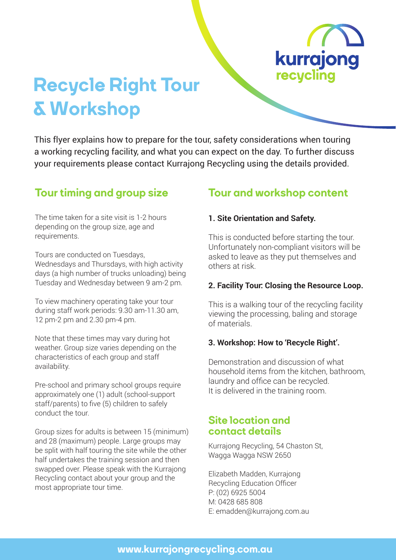

# **Recycle Right Tour & Workshop**

This flyer explains how to prepare for the tour, safety considerations when touring a working recycling facility, and what you can expect on the day. To further discuss your requirements please contact Kurrajong Recycling using the details provided.

The time taken for a site visit is 1-2 hours depending on the group size, age and requirements.

Tours are conducted on Tuesdays, Wednesdays and Thursdays, with high activity days (a high number of trucks unloading) being Tuesday and Wednesday between 9 am-2 pm.

To view machinery operating take your tour during staff work periods: 9.30 am-11.30 am, 12 pm-2 pm and 2.30 pm-4 pm.

Note that these times may vary during hot weather. Group size varies depending on the characteristics of each group and staff availability.

Pre-school and primary school groups require approximately one (1) adult (school-support staff/parents) to five (5) children to safely conduct the tour.

Group sizes for adults is between 15 (minimum) and 28 (maximum) people. Large groups may be split with half touring the site while the other half undertakes the training session and then swapped over. Please speak with the Kurrajong Recycling contact about your group and the most appropriate tour time.

### **Tour timing and group size Tour and workshop content**

#### **1. Site Orientation and Safety.**

This is conducted before starting the tour. Unfortunately non-compliant visitors will be asked to leave as they put themselves and others at risk.

#### **2. Facility Tour: Closing the Resource Loop.**

This is a walking tour of the recycling facility viewing the processing, baling and storage of materials.

#### **3. Workshop: How to 'Recycle Right'.**

Demonstration and discussion of what household items from the kitchen, bathroom, laundry and office can be recycled. It is delivered in the training room.

#### **Site location and contact details**

Kurrajong Recycling, 54 Chaston St, Wagga Wagga NSW 2650

Elizabeth Madden, Kurrajong Recycling Education Officer P: (02) 6925 5004 M: 0428 685 808 E: emadden@kurrajong.com.au

#### **www.kurrajongrecycling.com.au**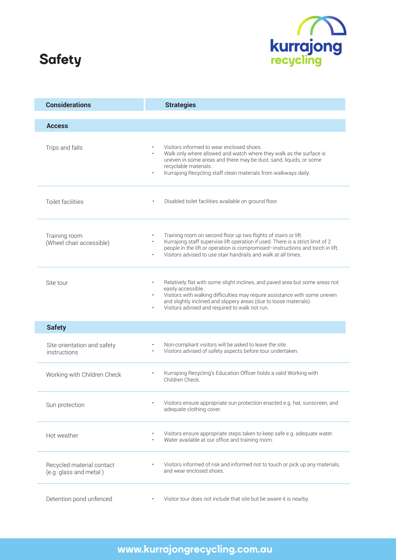# **Safety**



| <b>Considerations</b>                               | <b>Strategies</b>                                                                                                                                                                                                                                                                                                     |
|-----------------------------------------------------|-----------------------------------------------------------------------------------------------------------------------------------------------------------------------------------------------------------------------------------------------------------------------------------------------------------------------|
| <b>Access</b>                                       |                                                                                                                                                                                                                                                                                                                       |
| Trips and falls                                     | Visitors informed to wear enclosed shoes.<br>Walk only where allowed and watch where they walk as the surface is<br>uneven in some areas and there may be dust, sand, liquids, or some<br>recyclable materials.<br>Kurrajong Recycling staff clean materials from walkways daily.<br>$\bullet$                        |
| Toilet facilities                                   | Disabled toilet facilities available on ground floor.                                                                                                                                                                                                                                                                 |
| Training room<br>(Wheel chair accessible)           | Training room on second floor up two flights of stairs or lift.<br>Kurrajong staff supervise lift operation if used. There is a strict limit of 2<br>people in the lift or operation is compromised-instructions and torch in lift.<br>Visitors advised to use stair handrails and walk at all times.                 |
| Site tour                                           | Relatively flat with some slight inclines, and paved area but some areas not<br>easily accessible.<br>Visitors with walking difficulties may require assistance with some uneven<br>and slightly inclined and slippery areas (due to loose materials).<br>Visitors advised and required to walk not run.<br>$\bullet$ |
| <b>Safety</b>                                       |                                                                                                                                                                                                                                                                                                                       |
| Site orientation and safety<br>instructions         | Non-compliant visitors will be asked to leave the site.<br>Visitors advised of safety aspects before tour undertaken.<br>$\bullet$                                                                                                                                                                                    |
| Working with Children Check                         | Kurrajong Recycling's Education Officer holds a valid Working with<br>Children Check.                                                                                                                                                                                                                                 |
| Sun protection                                      | Visitors ensure appropriate sun protection enacted e.g. hat, sunscreen, and<br>adequate clothing cover.                                                                                                                                                                                                               |
| Hot weather                                         | Visitors ensure appropriate steps taken to keep safe e.g. adequate water.<br>Water available at our office and training room.                                                                                                                                                                                         |
| Recycled material contact<br>(e.g. glass and metal) | Visitors informed of risk and informed not to touch or pick up any materials,<br>and wear enclosed shoes.                                                                                                                                                                                                             |
| Detention pond unfenced                             | Visitor tour does not include that site but be aware it is nearby.                                                                                                                                                                                                                                                    |

## **www.kurrajongrecycling.com.au**